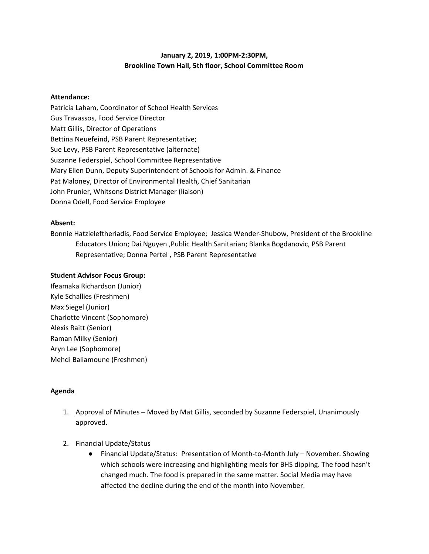# **January 2, 2019, 1:00PM-2:30PM, Brookline Town Hall, 5th floor, School Committee Room**

## **Attendance:**

Patricia Laham, Coordinator of School Health Services Gus Travassos, Food Service Director Matt Gillis, Director of Operations Bettina Neuefeind, PSB Parent Representative; Sue Levy, PSB Parent Representative (alternate) Suzanne Federspiel, School Committee Representative Mary Ellen Dunn, Deputy Superintendent of Schools for Admin. & Finance Pat Maloney, Director of Environmental Health, Chief Sanitarian John Prunier, Whitsons District Manager (liaison) Donna Odell, Food Service Employee

#### **Absent:**

Bonnie Hatzieleftheriadis, Food Service Employee; Jessica Wender-Shubow, President of the Brookline Educators Union; Dai Nguyen ,Public Health Sanitarian; Blanka Bogdanovic, PSB Parent Representative; Donna Pertel , PSB Parent Representative

## **Student Advisor Focus Group:**

Ifeamaka Richardson (Junior) Kyle Schallies (Freshmen) Max Siegel (Junior) Charlotte Vincent (Sophomore) Alexis Raitt (Senior) Raman Milky (Senior) Aryn Lee (Sophomore) Mehdi Baliamoune (Freshmen)

# **Agenda**

- 1. Approval of Minutes Moved by Mat Gillis, seconded by Suzanne Federspiel, Unanimously approved.
- 2. Financial Update/Status
	- Financial Update/Status: Presentation of Month-to-Month July November. Showing which schools were increasing and highlighting meals for BHS dipping. The food hasn't changed much. The food is prepared in the same matter. Social Media may have affected the decline during the end of the month into November.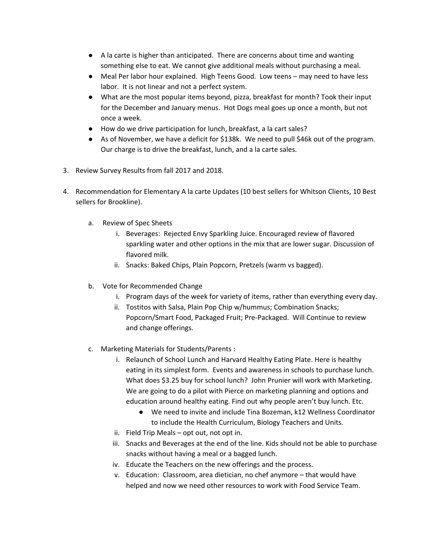- A la carte is higher than anticipated. There are concerns about time and wanting something else to eat. We cannot give additional meals without purchasing a meal.
- Meal Per labor hour explained. High Teens Good. Low teens may need to have less labor. It is not linear and not a perfect system.
- What are the most popular items beyond, pizza, breakfast for month? Took their input for the December and January menus. Hot Dogs meal goes up once a month, but not once a week.
- How do we drive participation for lunch, breakfast, a la cart sales?
- As of November, we have a deficit for \$138k. We need to pull \$46k out of the program. Our charge is to drive the breakfast, lunch, and a la carte sales.
- 3. Review Survey Results from fall 2017 and 2018.
- 4. Recommendation for Elementary A la carte Updates (10 best sellers for Whitson Clients, 10 Best sellers for Brookline).
	- a. Review of Spec Sheets
		- i. Beverages: Rejected Envy Sparkling Juice. Encouraged review of flavored sparkling water and other options in the mix that are lower sugar. Discussion of flavored milk.
		- ii. Snacks: Baked Chips, Plain Popcorn, Pretzels (warm vs bagged).
	- b. Vote for Recommended Change
		- i. Program days of the week for variety of items, rather than everything every day.
		- ii. Tostitos with Salsa, Plain Pop Chip w/hummus; Combination Snacks; Popcorn/Smart Food, Packaged Fruit; Pre-Packaged. Will Continue to review and change offerings.
	- c. Marketing Materials for Students/Parents :
		- i. Relaunch of School Lunch and Harvard Healthy Eating Plate. Here is healthy eating in its simplest form. Events and awareness in schools to purchase lunch. What does \$3.25 buy for school lunch? John Prunier will work with Marketing. We are going to do a pilot with Pierce on marketing planning and options and education around healthy eating. Find out why people aren't buy lunch. Etc.
			- We need to invite and include Tina Bozeman, k12 Wellness Coordinator to include the Health Curriculum, Biology Teachers and Units.
		- ii. Field Trip Meals opt out, not opt in.
		- iii. Snacks and Beverages at the end of the line. Kids should not be able to purchase snacks without having a meal or a bagged lunch.
		- iv. Educate the Teachers on the new offerings and the process.
		- v. Education: Classroom, area dietician, no chef anymore that would have helped and now we need other resources to work with Food Service Team.